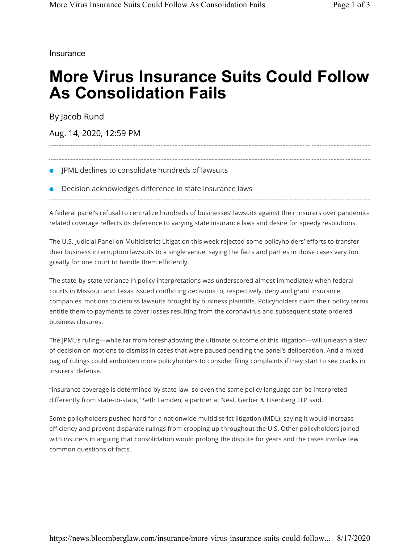**Insurance** 

## **More Virus Insurance Suits Could Follow As Consolidation Fails**

By Jacob Rund

Aug. 14, 2020, 12:59 PM

- JPML declines to consolidate hundreds of lawsuits
- Decision acknowledges difference in state insurance laws

A federal panel's refusal to centralize hundreds of businesses' lawsuits against their insurers over pandemicrelated coverage reflects its deference to varying state insurance laws and desire for speedy resolutions.

The U.S. Judicial Panel on Multidistrict Litigation this week rejected some policyholders' efforts to transfer their business interruption lawsuits to a single venue, saying the facts and parties in those cases vary too greatly for one court to handle them efficiently.

The state-by-state variance in policy interpretations was underscored almost immediately when federal courts in Missouri and Texas issued conflicting decisions to, respectively, deny and grant insurance companies' motions to dismiss lawsuits brought by business plaintiffs. Policyholders claim their policy terms entitle them to payments to cover losses resulting from the coronavirus and subsequent state-ordered business closures.

The JPML's ruling—while far from foreshadowing the ultimate outcome of this litigation—will unleash a slew of decision on motions to dismiss in cases that were paused pending the panel's deliberation. And a mixed bag of rulings could embolden more policyholders to consider filing complaints if they start to see cracks in insurers' defense.

"Insurance coverage is determined by state law, so even the same policy language can be interpreted differently from state-to-state," Seth Lamden, a partner at Neal, Gerber & Eisenberg LLP said.

Some policyholders pushed hard for a nationwide multidistrict litigation (MDL), saying it would increase efficiency and prevent disparate rulings from cropping up throughout the U.S. Other policyholders joined with insurers in arguing that consolidation would prolong the dispute for years and the cases involve few common questions of facts.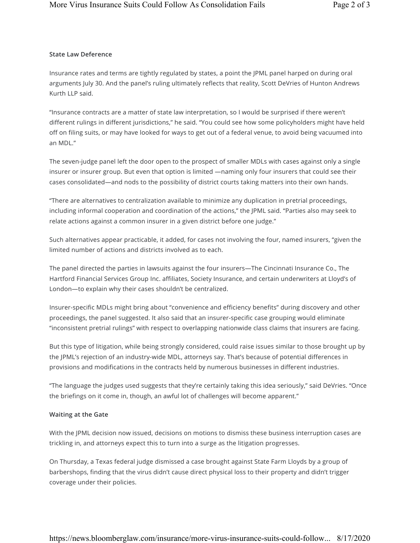## **State Law Deference**

Insurance rates and terms are tightly regulated by states, a point the JPML panel harped on during oral arguments July 30. And the panel's ruling ultimately reflects that reality, Scott DeVries of Hunton Andrews Kurth LLP said.

"Insurance contracts are a matter of state law interpretation, so I would be surprised if there weren't different rulings in different jurisdictions," he said. "You could see how some policyholders might have held off on filing suits, or may have looked for ways to get out of a federal venue, to avoid being vacuumed into an MDL."

The seven-judge panel left the door open to the prospect of smaller MDLs with cases against only a single insurer or insurer group. But even that option is limited —naming only four insurers that could see their cases consolidated—and nods to the possibility of district courts taking matters into their own hands.

"There are alternatives to centralization available to minimize any duplication in pretrial proceedings, including informal cooperation and coordination of the actions," the JPML said. "Parties also may seek to relate actions against a common insurer in a given district before one judge."

Such alternatives appear practicable, it added, for cases not involving the four, named insurers, "given the limited number of actions and districts involved as to each.

The panel directed the parties in lawsuits against the four insurers—The Cincinnati Insurance Co., The Hartford Financial Services Group Inc. affiliates, Society Insurance, and certain underwriters at Lloyd's of London—to explain why their cases shouldn't be centralized.

Insurer-specific MDLs might bring about "convenience and efficiency benefits" during discovery and other proceedings, the panel suggested. It also said that an insurer-specific case grouping would eliminate "inconsistent pretrial rulings" with respect to overlapping nationwide class claims that insurers are facing.

But this type of litigation, while being strongly considered, could raise issues similar to those brought up by the JPML's rejection of an industry-wide MDL, attorneys say. That's because of potential differences in provisions and modifications in the contracts held by numerous businesses in different industries.

"The language the judges used suggests that they're certainly taking this idea seriously," said DeVries. "Once the briefings on it come in, though, an awful lot of challenges will become apparent."

## **Waiting at the Gate**

With the JPML decision now issued, decisions on motions to dismiss these business interruption cases are trickling in, and attorneys expect this to turn into a surge as the litigation progresses.

On Thursday, a Texas federal judge dismissed a case brought against State Farm Lloyds by a group of barbershops, finding that the virus didn't cause direct physical loss to their property and didn't trigger coverage under their policies.